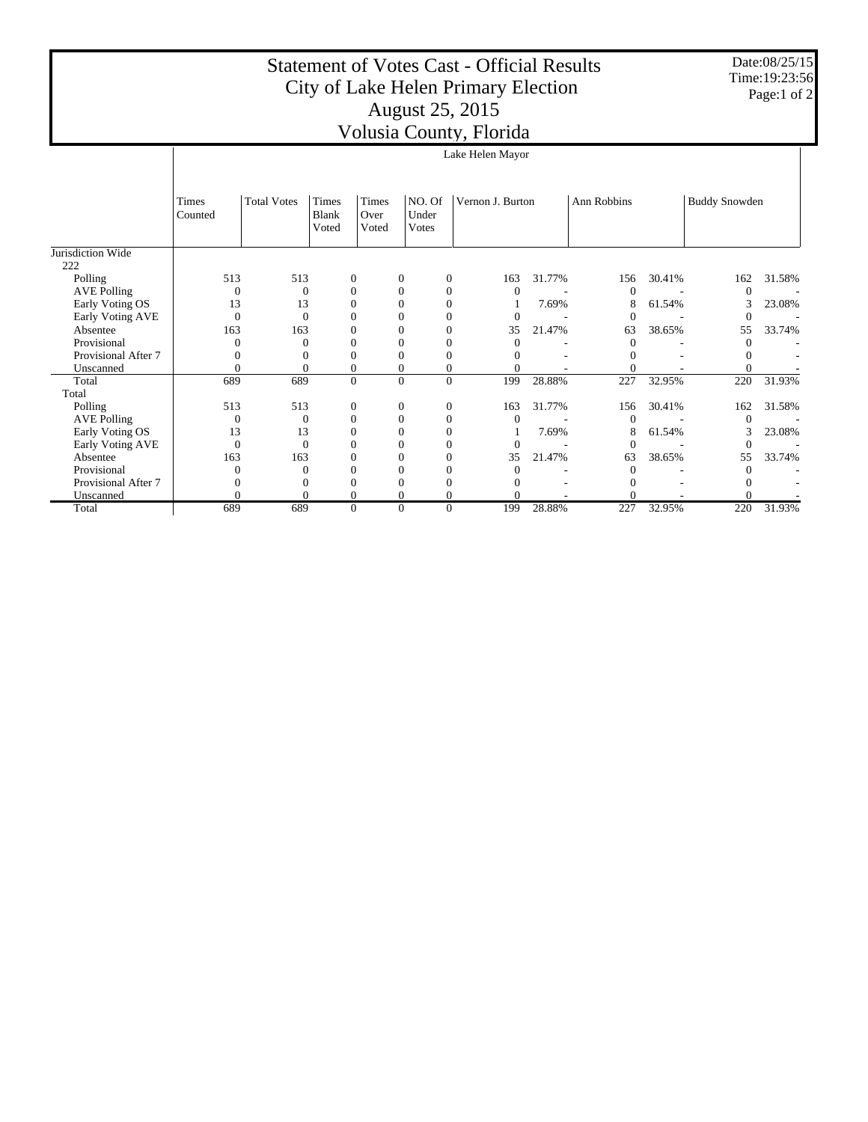## Statement of Votes Cast - Official Results City of Lake Helen Primary Election August 25, 2015 Volusia County, Florida

Date:08/25/15 Time:19:23:56 Page:1 of 2

|                     | ر ر-                    |                    |                  |                  |                 |                  |                |        |             |        |                      |        |
|---------------------|-------------------------|--------------------|------------------|------------------|-----------------|------------------|----------------|--------|-------------|--------|----------------------|--------|
|                     |                         | Lake Helen Mayor   |                  |                  |                 |                  |                |        |             |        |                      |        |
|                     |                         |                    |                  |                  |                 |                  |                |        |             |        |                      |        |
|                     |                         |                    |                  |                  |                 |                  |                |        |             |        |                      |        |
|                     | <b>Times</b><br>Counted | <b>Total Votes</b> | Times<br>Blank   | Times<br>Over    | NO. Of<br>Under | Vernon J. Burton |                |        | Ann Robbins |        | <b>Buddy Snowden</b> |        |
|                     |                         |                    | Voted            | Voted            | Votes           |                  |                |        |             |        |                      |        |
| Jurisdiction Wide   |                         |                    |                  |                  |                 |                  |                |        |             |        |                      |        |
| 222                 |                         |                    |                  |                  |                 |                  |                |        |             |        |                      |        |
| Polling             | 513                     | 513                | $\boldsymbol{0}$ | $\boldsymbol{0}$ | $\mathbf{0}$    |                  | 163            | 31.77% | 156         | 30.41% | 162                  | 31.58% |
| <b>AVE Polling</b>  | $\Omega$                | $\mathbf{0}$       | $\mathbf{0}$     | $\mathbf{0}$     | $\theta$        |                  | $\theta$       |        |             |        |                      |        |
| Early Voting OS     | 13                      | 13                 | $\overline{0}$   | 0                | 0               |                  |                | 7.69%  |             | 61.54% | 3                    | 23.08% |
| Early Voting AVE    | $\overline{0}$          | $\theta$           | $\theta$         | 0                | 0               |                  | $\mathbf{0}$   |        |             |        |                      |        |
| Absentee            | 163                     | 163                | $\overline{0}$   | 0                | 0               |                  | 35             | 21.47% | 63          | 38.65% | 55                   | 33.74% |
| Provisional         |                         | 0                  | $\theta$         |                  |                 |                  | $\theta$       |        |             |        | $\Omega$             |        |
| Provisional After 7 |                         | 0                  | $\mathbf{0}$     | 0                | 0               |                  |                |        |             |        |                      |        |
| Unscanned           | $\theta$                | 0                  | $\boldsymbol{0}$ | 0                | 0               |                  | 0              |        |             |        |                      |        |
| Total               | 689                     | 689                | $\mathbf{0}$     | $\theta$         | $\theta$        |                  | 199            | 28.88% | 227         | 32.95% | 220                  | 31.93% |
| Total               |                         |                    |                  |                  |                 |                  |                |        |             |        |                      |        |
| Polling             | 513                     | 513                | $\boldsymbol{0}$ | $\mathbf{0}$     | $\mathbf{0}$    |                  | 163            | 31.77% | 156         | 30.41% | 162                  | 31.58% |
| <b>AVE Polling</b>  | $\overline{0}$          | $\mathbf{0}$       | $\mathbf{0}$     | $\mathbf{0}$     | $\mathbf{0}$    |                  | $\mathbf{0}$   |        | $\Omega$    |        |                      |        |
| Early Voting OS     | 13                      | 13                 | $\overline{0}$   | $\theta$         | $\Omega$        |                  |                | 7.69%  | 8           | 61.54% | 3                    | 23.08% |
| Early Voting AVE    | $\overline{0}$          | $\theta$           | $\theta$         | 0                | 0               |                  | $\overline{0}$ |        |             |        |                      |        |
| Absentee            | 163                     | 163                | $\mathbf{0}$     | 0                | $\Omega$        |                  | 35             | 21.47% | 63          | 38.65% | 55                   | 33.74% |
| Provisional         | 0                       | $\theta$           | $\overline{0}$   | $\theta$         | 0               |                  | $\theta$       |        |             |        | $\Omega$             |        |
| Provisional After 7 | 0                       | $_{0}$             | $\mathbf{0}$     | 0                | 0               |                  |                |        |             |        |                      |        |
| Unscanned           | $\Omega$                | 0                  | $\overline{0}$   |                  | $\theta$        |                  |                |        |             |        |                      |        |
| Total               | 689                     | 689                | $\mathbf{0}$     | 0                | $\mathbf{0}$    |                  | 199            | 28.88% | 227         | 32.95% | 220                  | 31.93% |